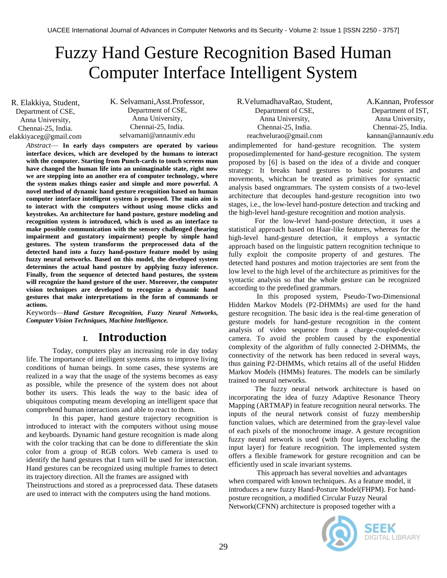# Fuzzy Hand Gesture Recognition Based Human Computer Interface Intelligent System

R. Elakkiya, Student, Department of CSE, Anna University, Chennai-25, India. elakkiyaceg@gmail.com K. Selvamani,Asst.Professor, Department of CSE, Anna University, Chennai-25, India. selvamani@annauniv.edu

*Abstract*— **In early days computers are operated by various interface devices, which are developed by the humans to interact with the computer. Starting from Punch-cards to touch screens man have changed the human life into an unimaginable state, right now we are stepping into an another era of computer technology, where the system makes things easier and simple and more powerful. A novel method of dynamic hand gesture recognition based on human computer interface intelligent system is proposed. The main aim is to interact with the computers without using mouse clicks and keystrokes. An architecture for hand posture, gesture modeling and recognition system is introduced, which is used as an interface to make possible communication with the sensory challenged (hearing impairment and gustatory impairment) people by simple hand gestures. The system transforms the preprocessed data of the detected hand into a fuzzy hand-posture feature model by using fuzzy neural networks. Based on this model, the developed system determines the actual hand posture by applying fuzzy inference. Finally, from the sequence of detected hand postures, the system will recognize the hand gesture of the user. Moreover, the computer vision techniques are developed to recognize a dynamic hand gestures that make interpretations in the form of commands or actions.** 

Keywords—*Hand Gesture Recognition, Fuzzy Neural Networks, Computer Vision Techniques, Machine Intelligence.*

# **I. Introduction**

Today, computers play an increasing role in day today life. The importance of intelligent systems aims to improve living conditions of human beings. In some cases, these systems are realized in a way that the usage of the systems becomes as easy as possible, while the presence of the system does not about bother its users. This leads the way to the basic idea of ubiquitous computing means developing an intelligent space that comprehend human interactions and able to react to them.

In this paper, hand gesture trajectory recognition is introduced to interact with the computers without using mouse and keyboards. Dynamic hand gesture recognition is made along with the color tracking that can be done to differentiate the skin color from a group of RGB colors. Web camera is used to identify the hand gestures that I turn will be used for interaction. Hand gestures can be recognized using multiple frames to detect its trajectory direction. All the frames are assigned with

Theinstructions and stored as a preprocessed data. These datasets are used to interact with the computers using the hand motions.

reachvelurao@gmail.com kannan@annauniv R.VelumadhavaRao, Student, Department of CSE, Anna University, Chennai-25, India.

A.Kannan, Professor Department of IST, Anna University, Chennai-25, India. kannan@annauniv.edu

andimplemented for hand-gesture recognition. The system proposedimplemented for hand-gesture recognition. The system proposed by [6] is based on the idea of a divide and conquer strategy: It breaks hand gestures to basic postures and movements, whichcan be treated as primitives for syntactic analysis based ongrammars. The system consists of a two-level architecture that decouples hand-gesture recognition into two stages, i.e., the low-level hand-posture detection and tracking and the high-level hand-gesture recognition and motion analysis.

For the low-level hand-posture detection, it uses a statistical approach based on Haar-like features, whereas for the high-level hand-gesture detection, it employs a syntactic approach based on the linguistic pattern recognition technique to fully exploit the composite property of and gestures. The detected hand postures and motion trajectories are sent from the low level to the high level of the architecture as primitives for the syntactic analysis so that the whole gesture can be recognized according to the predefined grammars.

In this proposed system, Pseudo-Two-Dimensional Hidden Markov Models (P2-DHMMs) are used for the hand gesture recognition. The basic idea is the real-time generation of gesture models for hand-gesture recognition in the content analysis of video sequence from a charge-coupled-device camera. To avoid the problem caused by the exponential complexity of the algorithm of fully connected 2-DHMMs, the connectivity of the network has been reduced in several ways, thus gaining P2-DHMMs, which retains all of the useful Hidden Markov Models (HMMs) features. The models can be similarly trained to neural networks.

The fuzzy neural network architecture is based on incorporating the idea of fuzzy Adaptive Resonance Theory Mapping (ARTMAP) in feature recognition neural networks. The inputs of the neural network consist of fuzzy membership function values, which are determined from the gray-level value of each pixels of the monochrome image. A gesture recognition fuzzy neural network is used (with four layers, excluding the input layer) for feature recognition. The implemented system offers a flexible framework for gesture recognition and can be efficiently used in scale invariant systems.

This approach has several novelties and advantages when compared with known techniques. As a feature model, it introduces a new fuzzy Hand-Posture Model(FHPM). For handposture recognition, a modified Circular Fuzzy Neural Network(CFNN) architecture is proposed together with a

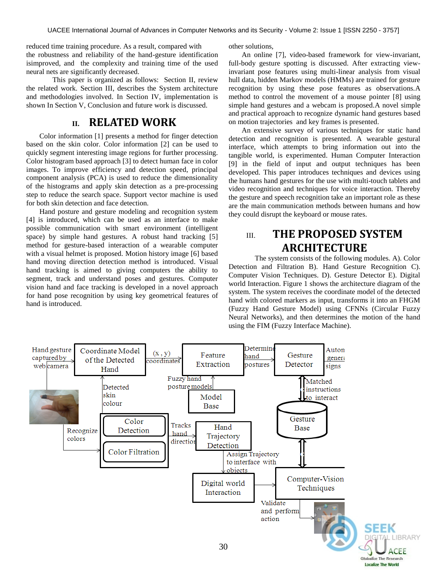reduced time training procedure. As a result, compared with other solutions, the robustness and reliability of the hand-gesture identification isimproved, and the complexity and training time of the used neural nets are significantly decreased.

This paper is organized as follows: Section II, review the related work. Section III, describes the System architecture and methodologies involved. In Section IV, implementation is shown In Section V, Conclusion and future work is discussed.

### **II. RELATED WORK**

Color information [1] presents a method for finger detection based on the skin color. Color information [2] can be used to quickly segment interesting image regions for further processing. Color histogram based approach [3] to detect human face in color images. To improve efficiency and detection speed, principal component analysis (PCA) is used to reduce the dimensionality of the histograms and apply skin detection as a pre-processing step to reduce the search space. Support vector machine is used for both skin detection and face detection.

Hand posture and gesture modeling and recognition system [4] is introduced, which can be used as an interface to make possible communication with smart environment (intelligent space) by simple hand gestures. A robust hand tracking [5] method for gesture-based interaction of a wearable computer with a visual helmet is proposed. Motion history image [6] based hand moving direction detection method is introduced. Visual hand tracking is aimed to giving computers the ability to segment, track and understand poses and gestures. Computer vision hand and face tracking is developed in a novel approach for hand pose recognition by using key geometrical features of hand is introduced.

An online [7], video-based framework for view-invariant, full-body gesture spotting is discussed. After extracting viewinvariant pose features using multi-linear analysis from visual hull data, hidden Markov models (HMMs) are trained for gesture recognition by using these pose features as observations.A method to control the movement of a mouse pointer [8] using simple hand gestures and a webcam is proposed.A novel simple and practical approach to recognize dynamic hand gestures based on motion trajectories and key frames is presented.

An extensive survey of various techniques for static hand detection and recognition is presented. A wearable gestural interface, which attempts to bring information out into the tangible world, is experimented. Human Computer Interaction [9] in the field of input and output techniques has been developed. This paper introduces techniques and devices using the humans hand gestures for the use with multi-touch tablets and video recognition and techniques for voice interaction. Thereby the gesture and speech recognition take an important role as these are the main communication methods between humans and how they could disrupt the keyboard or mouse rates.

# III. **THE PROPOSED SYSTEM ARCHITECTURE**

The system consists of the following modules. A). Color Detection and Filtration B). Hand Gesture Recognition C). Computer Vision Techniques. D). Gesture Detector E). Digital world Interaction. Figure 1 shows the architecture diagram of the system. The system receives the coordinate model of the detected hand with colored markers as input, transforms it into an FHGM (Fuzzy Hand Gesture Model) using CFNNs (Circular Fuzzy Neural Networks), and then determines the motion of the hand using the FIM (Fuzzy Interface Machine).

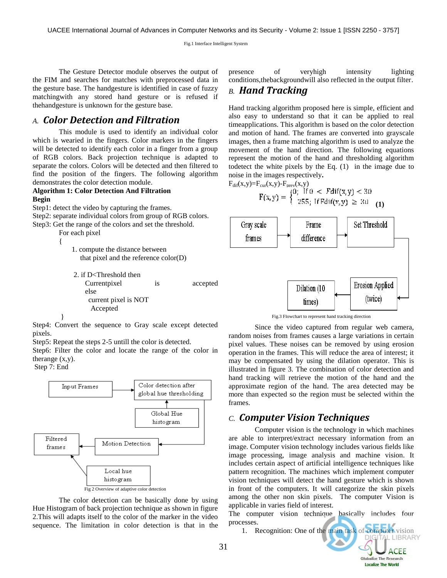The Gesture Detector module observes the output of the FIM and searches for matches with preprocessed data in the gesture base. The handgesture is identified in case of fuzzy matchingwith any stored hand gesture or is refused if thehandgesture is unknown for the gesture base.

### *A. Color Detection and Filtration*

This module is used to identify an individual color which is wearied in the fingers. Color markers in the fingers will be detected to identify each color in a finger from a group of RGB colors. Back projection technique is adapted to separate the colors. Colors will be detected and then filtered to find the position of the fingers. The following algorithm demonstrates the color detection module.

### **Algorithm 1: Color Detection And Filtration Begin**

Step1: detect the video by capturing the frames.

Step2: separate individual colors from group of RGB colors. Step3: Get the range of the colors and set the threshold.

For each pixel {

 1. compute the distance between that pixel and the reference color(D)

2. if D<Threshold then Currentpixel is accepted else current pixel is NOT Accepted

Step4: Convert the sequence to Gray scale except detected pixels.

Step5: Repeat the steps 2-5 untill the color is detected.

Step6: Filter the color and locate the range of the color in therange  $(x,y)$ .

Step 7: End

}



The color detection can be basically done by using Hue Histogram of back projection technique as shown in figure 2.This will adapts itself to the color of the marker in the video sequence. The limitation in color detection is that in the presence of veryhigh intensity lighting conditions,thebackgroundwill also reflected in the output filter.

### *B. Hand Tracking*

Hand tracking algorithm proposed here is simple, efficient and also easy to understand so that it can be applied to real timeapplications. This algorithm is based on the color detection and motion of hand. The frames are converted into grayscale images, then a frame matching algorithm is used to analyze the movement of the hand direction. The following equations represent the motion of the hand and thresholding algorithm todetect the white pixels by the Eq. (1) in the image due to noise in the images respectively**.**

$$
F_{\text{dif}}(x,y)=F_{\text{cur}}(x,y)\text{-}F_{\text{prev}}(x,y)
$$
  
\n
$$
F(x,y)=\begin{cases}0; & \text{if } 0 < \text{Fdif}(x,y) < 30\\255; & \text{if } \text{Fdif}(x,y) \geq 30\\0; & (1) \end{cases}
$$



Fig.3 Flowchart to represent hand tracking direction

Since the video captured from regular web camera, random noises from frames causes a large variations in certain pixel values. These noises can be removed by using erosion operation in the frames. This will reduce the area of interest; it may be compensated by using the dilation operator. This is illustrated in figure 3. The combination of color detection and hand tracking will retrieve the motion of the hand and the approximate region of the hand. The area detected may be more than expected so the region must be selected within the frames.

### *C. Computer Vision Techniques*

Computer vision is the technology in which machines are able to interpret/extract necessary information from an image. Computer vision technology includes various fields like image processing, image analysis and machine vision. It includes certain aspect of artificial intelligence techniques like pattern recognition. The machines which implement computer vision techniques will detect the hand gesture which is shown in front of the computers. It will categorize the skin pixels among the other non skin pixels. The computer Vision is applicable in varies field of interest.

The computer vision technique basically includes four processes.

1. Recognition: One of the main task of computer vision<br>DIGITAL LIBRARY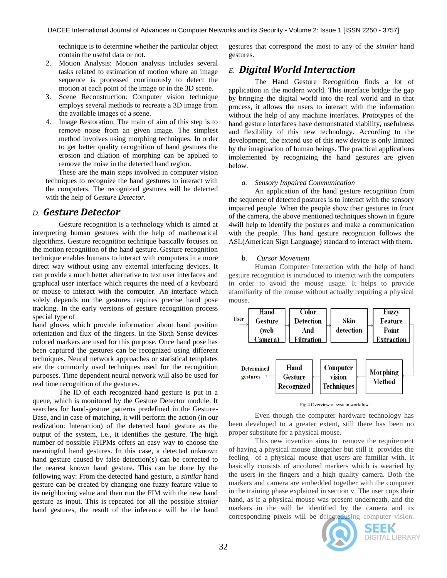technique is to determine whether the particular object contain the useful data or not.

- 2. Motion Analysis: Motion analysis includes several tasks related to estimation of motion where an image sequence is processed continuously to detect the motion at each point of the image or in the 3D scene.
- 3. Scene Reconstruction: Computer vision technique employs several methods to recreate a 3D image from the available images of a scene.
- 4. Image Restoration: The main of aim of this step is to remove noise from an given image. The simplest method involves using morphing techniques. In order to get better quality recognition of hand gestures the erosion and dilation of morphing can be applied to remove the noise in the detected hand region.

These are the main steps involved in computer vision techniques to recognize the hand gestures to interact with the computers. The recognized gestures will be detected with the help of *Gesture Detector.*

### *D. Gesture Detector*

Gesture recognition is a technology which is aimed at interpreting human gestures with the help of mathematical algorithms. Gesture recognition technique basically focuses on the motion recognition of the hand gesture. Gesture recognition technique enables humans to interact with computers in a more direct way without using any external interfacing devices. It can provide a much better alternative to text user interfaces and graphical user interface which requires the need of a keyboard or mouse to interact with the computer. An interface which solely depends on the gestures requires precise hand pose tracking. In the early versions of gesture recognition process special type of

hand gloves which provide information about hand position orientation and flux of the fingers. In the Sixth Sense devices colored markers are used for this purpose. Once hand pose has been captured the gestures can be recognized using different techniques. Neural network approaches or statistical templates are the commonly used techniques used for the recognition purposes. Time dependent neural network will also be used for real time recognition of the gestures.

The ID of each recognized hand gesture is put in a queue, which is monitored by the Gesture Detector module. It searches for hand-gesture patterns predefined in the Gesture-Base, and in case of matching, it will perform the action (in our realization: Interaction) of the detected hand gesture as the output of the system, i.e., it identifies the gesture. The high number of possible FHPMs offers an easy way to choose the meaningful hand gestures. In this case, a detected unknown hand gesture caused by false detection(s) can be corrected to the nearest known hand gesture. This can be done by the following way: From the detected hand gesture, a *similar* hand gesture can be created by changing one fuzzy feature value to its neighboring value and then run the FIM with the new hand gesture as input. This is repeated for all the possible *similar* hand gestures, the result of the inference will be the hand

gestures that correspond the most to any of the *similar* hand gestures.

# *E. Digital World Interaction*

The Hand Gesture Recognition finds a lot of application in the modern world. This interface bridge the gap by bringing the digital world into the real world and in that process, it allows the users to interact with the information without the help of any machine interfaces. Prototypes of the hand gesture interfaces have demonstrated viability, usefulness and flexibility of this new technology. According to the development, the extend use of this new device is only limited by the imagination of human beings. The practical applications implemented by recognizing the hand gestures are given below.

#### *a. Sensory Impaired Communication*

An application of the hand gesture recognition from the sequence of detected postures is to interact with the sensory impaired people. When the people show their gestures in front of the camera, the above mentioned techniques shown in figure 4will help to identify the postures and make a communication with the people. This hand gesture recognition follows the ASL(American Sign Language) standard to interact with them.

#### b. *Cursor Movement*

Human Computer Interaction with the help of hand gesture recognition is introduced to interact with the computers in order to avoid the mouse usage. It helps to provide afamiliarity of the mouse without actually requiring a physical mouse.



Fig.4 Overview of system workflow

Even though the computer hardware technology has been developed to a greater extent, still there has been no proper substitute for a physical mouse.

This new invention aims to remove the requirement of having a physical mouse altogether but still it provides the feeling of a physical mouse that users are familiar with. It basically consists of ancolored markers which is wearied by the users in the fingers and a high quality camera. Both the markers and camera are embedded together with the computer in the training phase explained in section v. The user cups their hand, as if a physical mouse was present underneath, and the markers in the will be identified by the camera and its corresponding pixels will be detectedusing computer vision.



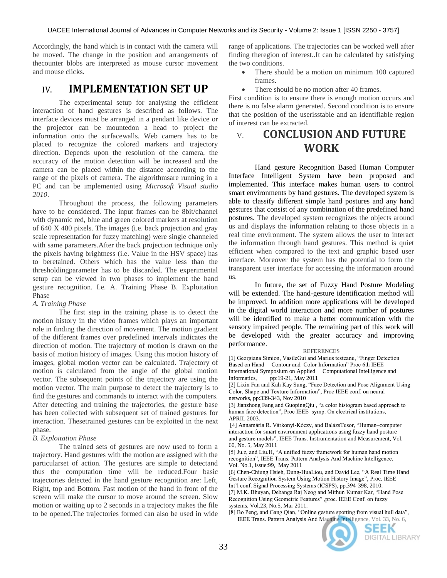Accordingly, the hand which is in contact with the camera will be moved. The change in the position and arrangements of thecounter blobs are interpreted as mouse cursor movement and mouse clicks.

# IV. **IMPLEMENTATION SET UP**

The experimental setup for analysing the efficient interaction of hand gestures is described as follows. The interface devices must be arranged in a pendant like device or the projector can be mountedon a head to project the information onto the surfacewalls. Web camera has to be placed to recognize the colored markers and trajectory direction. Depends upon the resolution of the camera, the accuracy of the motion detection will be increased and the camera can be placed within the distance according to the range of the pixels of camera. The algorithmsare running in a PC and can be implemented using *Microsoft Visual studio 2010*.

Throughout the process, the following parameters have to be considered. The input frames can be 8bit/channel with dynamic red, blue and green colored markers at resolution of 640 X 480 pixels. The images (i.e. back projection and gray scale representation for fuzzy matching) were single channeled with same parameters.After the back projection technique only the pixels having brightness (i.e. Value in the HSV space) has to beretained. Others which has the value less than the thresholdingparameter has to be discarded. The experimental setup can be viewed in two phases to implement the hand gesture recognition. I.e. A. Training Phase B. Exploitation Phase

#### *A. Training Phase*

The first step in the training phase is to detect the motion history in the video frames which plays an important role in finding the direction of movement. The motion gradient of the different frames over predefined intervals indicates the direction of motion. The trajectory of motion is drawn on the basis of motion history of images. Using this motion history of images, global motion vector can be calculated. Trajectory of motion is calculated from the angle of the global motion vector. The subsequent points of the trajectory are using the motion vector. The main purpose to detect the trajectory is to find the gestures and commands to interact with the computers. After detecting and training the trajectories, the gesture base has been collected with subsequent set of trained gestures for interaction. Thesetrained gestures can be exploited in the next phase.

#### *B. Exploitation Phase*

The trained sets of gestures are now used to form a trajectory. Hand gestures with the motion are assigned with the particularset of action. The gestures are simple to detectand thus the computation time will be reduced.Four basic trajectories detected in the hand gesture recognition are: Left, Right, top and Bottom. Fast motion of the hand in front of the screen will make the cursor to move around the screen. Slow motion or waiting up to 2 seconds in a trajectory makes the file to be opened.The trajectories formed can also be used in wide

range of applications. The trajectories can be worked well after finding theregion of interest..It can be calculated by satisfying the two conditions.

- There should be a motion on minimum 100 captured frames.
- There should be no motion after 40 frames.

First condition is to ensure there is enough motion occurs and there is no false alarm generated. Second condition is to ensure that the position of the userisstable and an identifiable region of interest can be extracted.

# V. **CONCLUSION AND FUTURE WORK**

Hand gesture Recognition Based Human Computer Interface Intelligent System have been proposed and implemented. This interface makes human users to control smart environments by hand gestures. The developed system is able to classify different simple hand postures and any hand gestures that consist of any combination of the predefined hand postures. The developed system recognizes the objects around us and displays the information relating to those objects in a real time environment. The system allows the user to interact the information through hand gestures. This method is quiet efficient when compared to the text and graphic based user interface. Moreover the system has the potential to form the transparent user interface for accessing the information around us.

In future, the set of Fuzzy Hand Posture Modeling will be extended. The hand-gesture identification method will be improved. In addition more applications will be developed in the digital world interaction and more number of postures will be identified to make a better communication with the sensory impaired people. The remaining part of this work will be developed with the greater accuracy and improving performance.

#### **REFERENCES**

[1] Georgiana Simion, VasileGui and Marius testeanu, "Finger Detection Based on Hand Contour and Color Information" Proc 6th IEEE International Symposium on Applied Computational Intelligence and Informatics, pp:19-21, May 2011 pp:19-21, May 2011

[2] Lixin Fan and Kah Kay Sung, "Face Detection and Pose Alignment Using Color, Shape and Texture Information", Proc IEEE conf. on neural networks, pp:339-343, Nov 2010

[3] Jianzhong Fang and GuopingQiu, "a color histogram based approach to human face detection", Proc IEEE symp. On electrical institutions, APRIL 2003.

[4] Annamária R. Várkonyi-Kóczy, and BalázsTusor, "Human-computer interaction for smart environment applications using fuzzy hand posture and gesture models", IEEE Trans. Instrumentation and Measurement, Vol. 60, No. 5, May 2011

[5] Ju.z, and Liu.H, "A unified fuzzy framework for human hand motion recognition", IEEE Trans. Pattern Analysis And Machine Intelligence, Vol. No.1, issue:99, May 2011

[6] Chen-Chiung Hsieh, Dung-HuaLiou, and David Lee, "A Real Time Hand Gesture Recognition System Using Motion History Image", Proc. IEEE Int'l conf. Signal Processing Systems (ICSPS), pp.394-398, 2010. [7] M.K. Bhuyan, Debanga Raj Neog and Mithun Kumar Kar, "Hand Pose Recognition Using Geometric Features", proc. IEEE Conf. on fuzzy systems, Vol.23, No.5, Mar 2011.

[8] Bo Peng, and Gang Qian, "Online gesture spotting from visual hull data", IEEE Trans. Pattern Analysis And Machine Intelligence, Vol. 33, No. 6,



SEEK DIGITAL LIBRARY